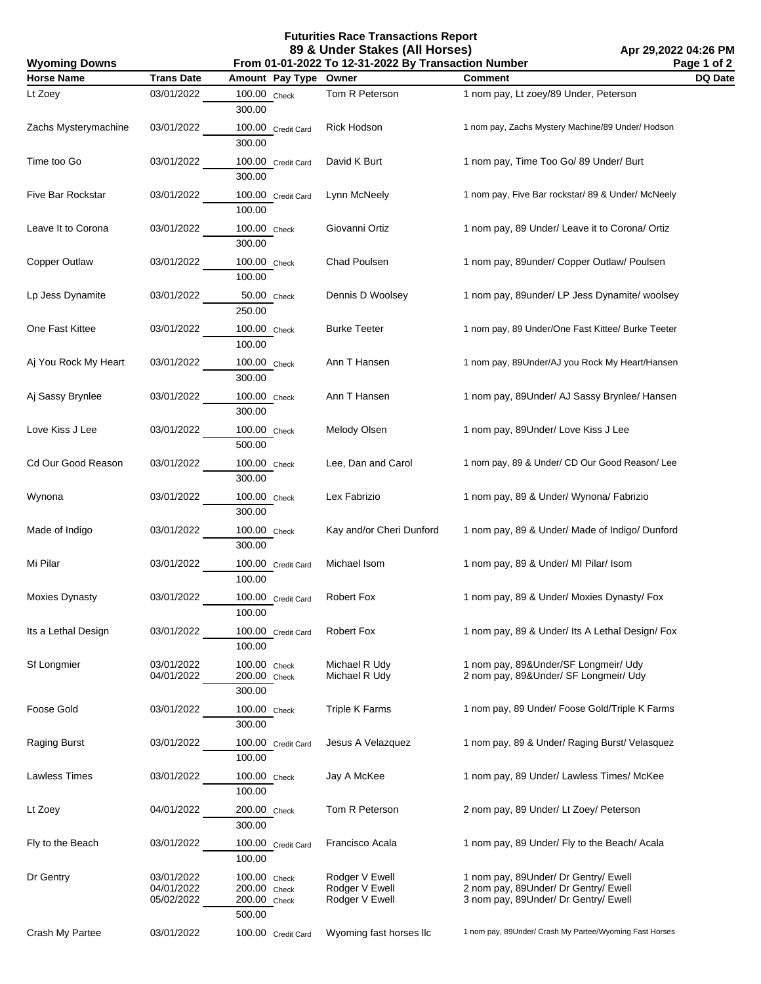**Futurities Race Transactions Report 89 & Under Stakes (All Horses)**

**Apr 29,2022 04:26 PM Page 1 of 2**

| <b>Wyoming Downs</b> |                                        | From 01-01-2022 To 12-31-2022 By Transaction Number    | Page 1 of 2                                        |                                                                                                                      |         |
|----------------------|----------------------------------------|--------------------------------------------------------|----------------------------------------------------|----------------------------------------------------------------------------------------------------------------------|---------|
| <b>Horse Name</b>    | <b>Trans Date</b>                      | Amount Pay Type                                        | Owner                                              | <b>Comment</b>                                                                                                       | DQ Date |
| Lt Zoey              | 03/01/2022                             | 100.00 Check<br>300.00                                 | Tom R Peterson                                     | 1 nom pay, Lt zoey/89 Under, Peterson                                                                                |         |
| Zachs Mysterymachine | 03/01/2022                             | 100.00 Credit Card<br>300.00                           | <b>Rick Hodson</b>                                 | 1 nom pay, Zachs Mystery Machine/89 Under/ Hodson                                                                    |         |
| Time too Go          | 03/01/2022                             | 100.00 Credit Card<br>300.00                           | David K Burt                                       | 1 nom pay, Time Too Go/ 89 Under/ Burt                                                                               |         |
| Five Bar Rockstar    | 03/01/2022                             | 100.00 Credit Card<br>100.00                           | Lynn McNeely                                       | 1 nom pay, Five Bar rockstar/ 89 & Under/ McNeely                                                                    |         |
| Leave It to Corona   | 03/01/2022                             | 100.00 Check<br>300.00                                 | Giovanni Ortiz                                     | 1 nom pay, 89 Under/ Leave it to Corona/ Ortiz                                                                       |         |
| Copper Outlaw        | 03/01/2022                             | 100.00 Check<br>100.00                                 | Chad Poulsen                                       | 1 nom pay, 89under/ Copper Outlaw/ Poulsen                                                                           |         |
| Lp Jess Dynamite     | 03/01/2022                             | 50.00 Check<br>250.00                                  | Dennis D Woolsey                                   | 1 nom pay, 89under/ LP Jess Dynamite/ woolsey                                                                        |         |
| One Fast Kittee      | 03/01/2022                             | 100.00 Check<br>100.00                                 | <b>Burke Teeter</b>                                | 1 nom pay, 89 Under/One Fast Kittee/ Burke Teeter                                                                    |         |
| Aj You Rock My Heart | 03/01/2022                             | 100.00 Check<br>300.00                                 | Ann T Hansen                                       | 1 nom pay, 89Under/AJ you Rock My Heart/Hansen                                                                       |         |
| Aj Sassy Brynlee     | 03/01/2022                             | 100.00 Check<br>300.00                                 | Ann T Hansen                                       | 1 nom pay, 89Under/ AJ Sassy Brynlee/ Hansen                                                                         |         |
| Love Kiss J Lee      | 03/01/2022                             | 100.00 Check<br>500.00                                 | Melody Olsen                                       | 1 nom pay, 89Under/ Love Kiss J Lee                                                                                  |         |
| Cd Our Good Reason   | 03/01/2022                             | 100.00 Check<br>300.00                                 | Lee, Dan and Carol                                 | 1 nom pay, 89 & Under/ CD Our Good Reason/ Lee                                                                       |         |
| Wynona               | 03/01/2022                             | 100.00 Check<br>300.00                                 | Lex Fabrizio                                       | 1 nom pay, 89 & Under/ Wynona/ Fabrizio                                                                              |         |
| Made of Indigo       | 03/01/2022                             | 100.00 Check<br>300.00                                 | Kay and/or Cheri Dunford                           | 1 nom pay, 89 & Under/ Made of Indigo/ Dunford                                                                       |         |
| Mi Pilar             | 03/01/2022                             | 100.00 Credit Card<br>100.00                           | Michael Isom                                       | 1 nom pay, 89 & Under/ MI Pilar/ Isom                                                                                |         |
| Moxies Dynasty       | 03/01/2022                             | 100.00 Credit Card<br>100.00                           | Robert Fox                                         | 1 nom pay, 89 & Under/ Moxies Dynasty/ Fox                                                                           |         |
| Its a Lethal Design  | 03/01/2022                             | 100.00 Credit Card<br>100.00                           | Robert Fox                                         | 1 nom pay, 89 & Under/ Its A Lethal Design/ Fox                                                                      |         |
| <b>Sf Longmier</b>   | 03/01/2022<br>04/01/2022               | 100.00 Check<br>200.00 Check<br>300.00                 | Michael R Udy<br>Michael R Udy                     | 1 nom pay, 89&Under/SF Longmeir/ Udy<br>2 nom pay, 89& Under/ SF Longmeir/ Udy                                       |         |
| Foose Gold           | 03/01/2022                             | 100.00 Check<br>300.00                                 | <b>Triple K Farms</b>                              | 1 nom pay, 89 Under/ Foose Gold/Triple K Farms                                                                       |         |
| Raging Burst         | 03/01/2022                             | 100.00 Credit Card<br>100.00                           | Jesus A Velazquez                                  | 1 nom pay, 89 & Under/ Raging Burst/ Velasquez                                                                       |         |
| Lawless Times        | 03/01/2022                             | 100.00 Check<br>100.00                                 | Jay A McKee                                        | 1 nom pay, 89 Under/ Lawless Times/ McKee                                                                            |         |
| Lt Zoey              | 04/01/2022                             | 200.00 Check<br>300.00                                 | Tom R Peterson                                     | 2 nom pay, 89 Under/ Lt Zoey/ Peterson                                                                               |         |
| Fly to the Beach     | 03/01/2022                             | 100.00 Credit Card<br>100.00                           | Francisco Acala                                    | 1 nom pay, 89 Under/ Fly to the Beach/ Acala                                                                         |         |
| Dr Gentry            | 03/01/2022<br>04/01/2022<br>05/02/2022 | 100.00 Check<br>200.00 Check<br>200.00 Check<br>500.00 | Rodger V Ewell<br>Rodger V Ewell<br>Rodger V Ewell | 1 nom pay, 89Under/ Dr Gentry/ Ewell<br>2 nom pay, 89Under/ Dr Gentry/ Ewell<br>3 nom pay, 89Under/ Dr Gentry/ Ewell |         |
| Crash My Partee      | 03/01/2022                             | 100.00 Credit Card                                     | Wyoming fast horses IIc                            | 1 nom pay, 89Under/ Crash My Partee/Wyoming Fast Horses                                                              |         |